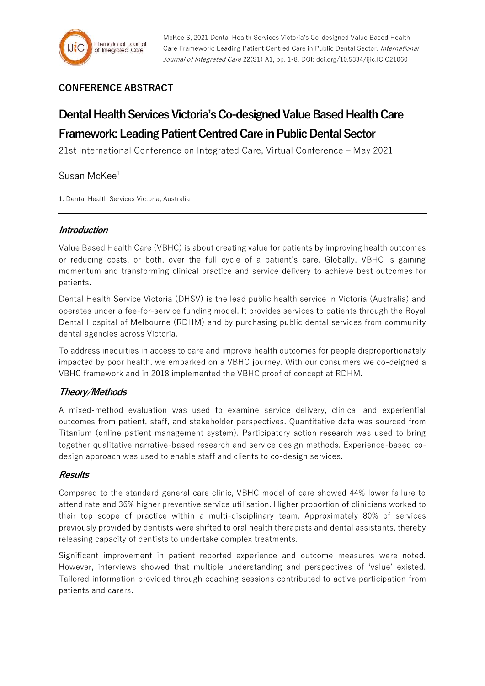# **CONFERENCE ABSTRACT**

# **Dental Health Services Victoria's Co-designedValue Based Health Care Framework: Leading Patient Centred Care in Public Dental Sector**

21st International Conference on Integrated Care, Virtual Conference – May 2021

Susan McKee<sup>1</sup>

1: Dental Health Services Victoria, Australia

## **Introduction**

Value Based Health Care (VBHC) is about creating value for patients by improving health outcomes or reducing costs, or both, over the full cycle of a patient's care. Globally, VBHC is gaining momentum and transforming clinical practice and service delivery to achieve best outcomes for patients.

Dental Health Service Victoria (DHSV) is the lead public health service in Victoria (Australia) and operates under a fee-for-service funding model. It provides services to patients through the Royal Dental Hospital of Melbourne (RDHM) and by purchasing public dental services from community dental agencies across Victoria.

To address inequities in access to care and improve health outcomes for people disproportionately impacted by poor health, we embarked on a VBHC journey. With our consumers we co-deigned a VBHC framework and in 2018 implemented the VBHC proof of concept at RDHM.

## **Theory/Methods**

A mixed-method evaluation was used to examine service delivery, clinical and experiential outcomes from patient, staff, and stakeholder perspectives. Quantitative data was sourced from Titanium (online patient management system). Participatory action research was used to bring together qualitative narrative-based research and service design methods. Experience-based codesign approach was used to enable staff and clients to co-design services.

## **Results**

Compared to the standard general care clinic, VBHC model of care showed 44% lower failure to attend rate and 36% higher preventive service utilisation. Higher proportion of clinicians worked to their top scope of practice within a multi-disciplinary team. Approximately 80% of services previously provided by dentists were shifted to oral health therapists and dental assistants, thereby releasing capacity of dentists to undertake complex treatments.

Significant improvement in patient reported experience and outcome measures were noted. However, interviews showed that multiple understanding and perspectives of 'value' existed. Tailored information provided through coaching sessions contributed to active participation from patients and carers.